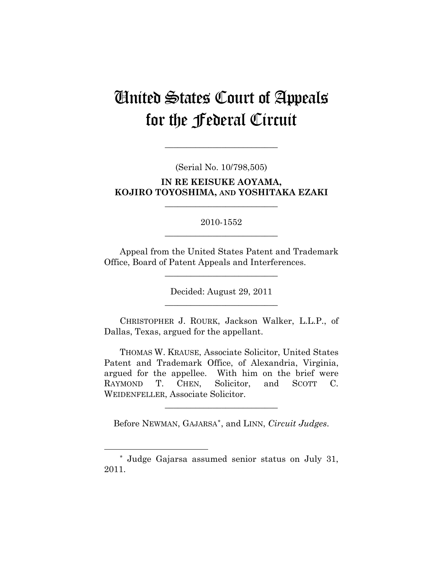# United States Court of Appeals for the Federal Circuit

(Serial No. 10/798,505)

**\_\_\_\_\_\_\_\_\_\_\_\_\_\_\_\_\_\_\_\_\_\_\_\_\_\_** 

**IN RE KEISUKE AOYAMA, KOJIRO TOYOSHIMA, AND YOSHITAKA EZAKI** 

**\_\_\_\_\_\_\_\_\_\_\_\_\_\_\_\_\_\_\_\_\_\_\_\_\_\_** 

# 2010-1552 **\_\_\_\_\_\_\_\_\_\_\_\_\_\_\_\_\_\_\_\_\_\_\_\_\_\_**

Appeal from the United States Patent and Trademark Office, Board of Patent Appeals and Interferences.

**\_\_\_\_\_\_\_\_\_\_\_\_\_\_\_\_\_\_\_\_\_\_\_\_\_\_** 

Decided: August 29, 2011 **\_\_\_\_\_\_\_\_\_\_\_\_\_\_\_\_\_\_\_\_\_\_\_\_\_\_** 

CHRISTOPHER J. ROURK, Jackson Walker, L.L.P., of Dallas, Texas, argued for the appellant.

THOMAS W. KRAUSE, Associate Solicitor, United States Patent and Trademark Office, of Alexandria, Virginia, argued for the appellee. With him on the brief were RAYMOND T. CHEN, Solicitor, and SCOTT C. WEIDENFELLER, Associate Solicitor.

Before NEWMAN, GAJARSA[\\*](#page-0-0), and LINN, *Circuit Judges*.

**\_\_\_\_\_\_\_\_\_\_\_\_\_\_\_\_\_\_\_\_\_\_\_\_\_\_** 

 $\overline{a}$ 

<span id="page-0-0"></span><sup>\*</sup> Judge Gajarsa assumed senior status on July 31, 2011.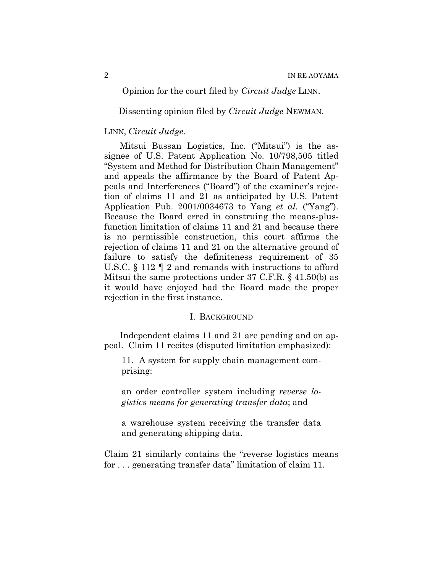## Opinion for the court filed by *Circuit Judge* LINN.

Dissenting opinion filed by *Circuit Judge* NEWMAN.

### LINN, *Circuit Judge*.

Mitsui Bussan Logistics, Inc. ("Mitsui") is the assignee of U.S. Patent Application No. 10/798,505 titled "System and Method for Distribution Chain Management" and appeals the affirmance by the Board of Patent Appeals and Interferences ("Board") of the examiner's rejection of claims 11 and 21 as anticipated by U.S. Patent Application Pub. 2001/0034673 to Yang *et al.* ("Yang"). Because the Board erred in construing the means-plusfunction limitation of claims 11 and 21 and because there is no permissible construction, this court affirms the rejection of claims 11 and 21 on the alternative ground of failure to satisfy the definiteness requirement of 35 U.S.C. § 112 ¶ 2 and remands with instructions to afford Mitsui the same protections under 37 C.F.R. § 41.50(b) as it would have enjoyed had the Board made the proper rejection in the first instance.

#### I. BACKGROUND

Independent claims 11 and 21 are pending and on appeal. Claim 11 recites (disputed limitation emphasized):

11. A system for supply chain management comprising:

an order controller system including *reverse logistics means for generating transfer data*; and

a warehouse system receiving the transfer data and generating shipping data.

Claim 21 similarly contains the "reverse logistics means for . . . generating transfer data" limitation of claim 11.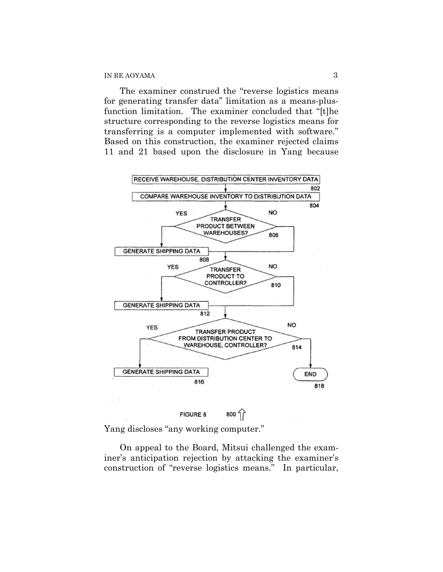The examiner construed the "reverse logistics means for generating transfer data" limitation as a means-plusfunction limitation. The examiner concluded that "[t]he structure corresponding to the reverse logistics means for transferring is a computer implemented with software." Based on this construction, the examiner rejected claims 11 and 21 based upon the disclosure in Yang because



Yang discloses "any working computer."

On appeal to the Board, Mitsui challenged the examiner's anticipation rejection by attacking the examiner's construction of "reverse logistics means." In particular,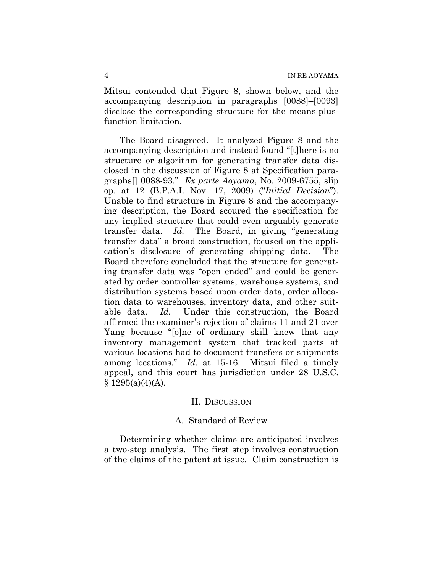Mitsui contended that Figure 8, shown below, and the accompanying description in paragraphs [0088]–[0093] disclose the corresponding structure for the means-plusfunction limitation.

The Board disagreed. It analyzed Figure 8 and the accompanying description and instead found "[t]here is no structure or algorithm for generating transfer data disclosed in the discussion of Figure 8 at Specification paragraphs[] 0088-93." *Ex parte Aoyama*, No. 2009-6755, slip op. at 12 (B.P.A.I. Nov. 17, 2009) ("*Initial Decision*"). Unable to find structure in Figure 8 and the accompanying description, the Board scoured the specification for any implied structure that could even arguably generate transfer data. *Id.* The Board, in giving "generating transfer data" a broad construction, focused on the application's disclosure of generating shipping data. The Board therefore concluded that the structure for generating transfer data was "open ended" and could be generated by order controller systems, warehouse systems, and distribution systems based upon order data, order allocation data to warehouses, inventory data, and other suitable data. *Id.* Under this construction, the Board affirmed the examiner's rejection of claims 11 and 21 over Yang because "[o]ne of ordinary skill knew that any inventory management system that tracked parts at various locations had to document transfers or shipments among locations." *Id.* at 15-16. Mitsui filed a timely appeal, and this court has jurisdiction under 28 U.S.C.  $§ 1295(a)(4)(A).$ 

#### II. DISCUSSION

## A. Standard of Review

Determining whether claims are anticipated involves a two-step analysis. The first step involves construction of the claims of the patent at issue. Claim construction is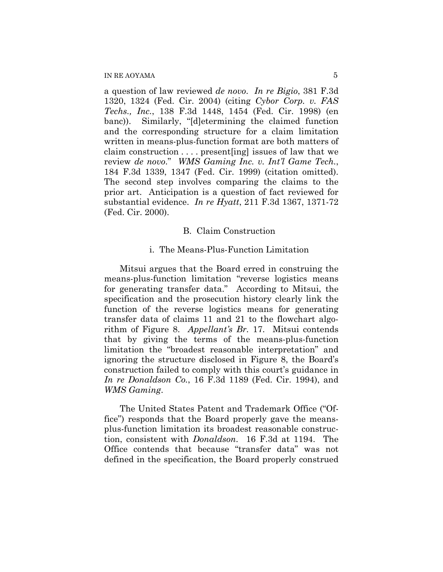a question of law reviewed *de novo*. *In re Bigio*, 381 F.3d 1320, 1324 (Fed. Cir. 2004) (citing *Cybor Corp. v. FAS Techs., Inc.*, 138 F.3d 1448, 1454 (Fed. Cir. 1998) (en banc)). Similarly, "[d]etermining the claimed function and the corresponding structure for a claim limitation written in means-plus-function format are both matters of claim construction . . . . present[ing] issues of law that we review *de novo*." *WMS Gaming Inc. v. Int'l Game Tech.*, 184 F.3d 1339, 1347 (Fed. Cir. 1999) (citation omitted). The second step involves comparing the claims to the prior art. Anticipation is a question of fact reviewed for substantial evidence. *In re Hyatt*, 211 F.3d 1367, 1371-72 (Fed. Cir. 2000).

#### B. Claim Construction

#### i. The Means-Plus-Function Limitation

Mitsui argues that the Board erred in construing the means-plus-function limitation "reverse logistics means for generating transfer data." According to Mitsui, the specification and the prosecution history clearly link the function of the reverse logistics means for generating transfer data of claims 11 and 21 to the flowchart algorithm of Figure 8. *Appellant's Br.* 17. Mitsui contends that by giving the terms of the means-plus-function limitation the "broadest reasonable interpretation" and ignoring the structure disclosed in Figure 8, the Board's construction failed to comply with this court's guidance in *In re Donaldson Co.*, 16 F.3d 1189 (Fed. Cir. 1994), and *WMS Gaming*.

The United States Patent and Trademark Office ("Office") responds that the Board properly gave the meansplus-function limitation its broadest reasonable construction, consistent with *Donaldson*. 16 F.3d at 1194. The Office contends that because "transfer data" was not defined in the specification, the Board properly construed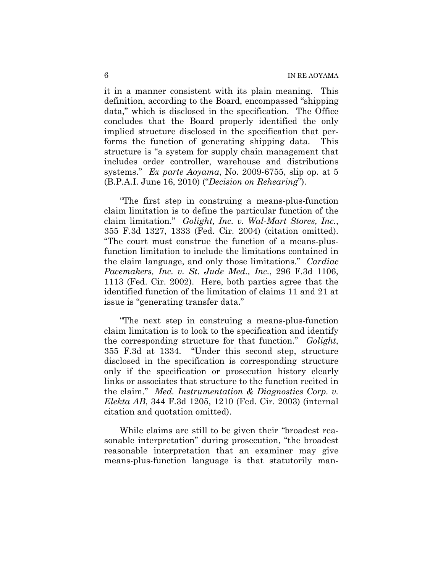it in a manner consistent with its plain meaning. This definition, according to the Board, encompassed "shipping data," which is disclosed in the specification. The Office concludes that the Board properly identified the only implied structure disclosed in the specification that performs the function of generating shipping data. This structure is "a system for supply chain management that includes order controller, warehouse and distributions systems." *Ex parte Aoyama*, No. 2009-6755, slip op. at 5 (B.P.A.I. June 16, 2010) ("*Decision on Rehearing*").

"The first step in construing a means-plus-function claim limitation is to define the particular function of the claim limitation." *Golight, Inc. v. Wal-Mart Stores, Inc.*, 355 F.3d 1327, 1333 (Fed. Cir. 2004) (citation omitted). "The court must construe the function of a means-plusfunction limitation to include the limitations contained in the claim language, and only those limitations." *Cardiac Pacemakers, Inc. v. St. Jude Med., Inc.*, 296 F.3d 1106, 1113 (Fed. Cir. 2002). Here, both parties agree that the identified function of the limitation of claims 11 and 21 at issue is "generating transfer data."

"The next step in construing a means-plus-function claim limitation is to look to the specification and identify the corresponding structure for that function." *Golight*, 355 F.3d at 1334. "Under this second step, structure disclosed in the specification is corresponding structure only if the specification or prosecution history clearly links or associates that structure to the function recited in the claim." *Med. Instrumentation & Diagnostics Corp. v. Elekta AB*, 344 F.3d 1205, 1210 (Fed. Cir. 2003) (internal citation and quotation omitted).

While claims are still to be given their "broadest reasonable interpretation" during prosecution, "the broadest reasonable interpretation that an examiner may give means-plus-function language is that statutorily man-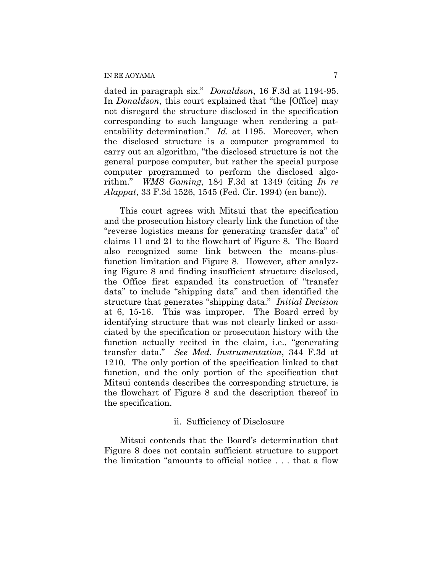dated in paragraph six." *Donaldson*, 16 F.3d at 1194-95. In *Donaldson*, this court explained that "the [Office] may not disregard the structure disclosed in the specification corresponding to such language when rendering a patentability determination." *Id.* at 1195. Moreover, when the disclosed structure is a computer programmed to carry out an algorithm, "the disclosed structure is not the general purpose computer, but rather the special purpose computer programmed to perform the disclosed algorithm." *WMS Gaming*, 184 F.3d at 1349 (citing *In re Alappat*, 33 F.3d 1526, 1545 (Fed. Cir. 1994) (en banc)).

This court agrees with Mitsui that the specification and the prosecution history clearly link the function of the "reverse logistics means for generating transfer data" of claims 11 and 21 to the flowchart of Figure 8. The Board also recognized some link between the means-plusfunction limitation and Figure 8. However, after analyzing Figure 8 and finding insufficient structure disclosed, the Office first expanded its construction of "transfer data" to include "shipping data" and then identified the structure that generates "shipping data." *Initial Decision* at 6, 15-16. This was improper. The Board erred by identifying structure that was not clearly linked or associated by the specification or prosecution history with the function actually recited in the claim, i.e., "generating transfer data." *See Med. Instrumentation*, 344 F.3d at 1210. The only portion of the specification linked to that function, and the only portion of the specification that Mitsui contends describes the corresponding structure, is the flowchart of Figure 8 and the description thereof in the specification.

#### ii. Sufficiency of Disclosure

Mitsui contends that the Board's determination that Figure 8 does not contain sufficient structure to support the limitation "amounts to official notice . . . that a flow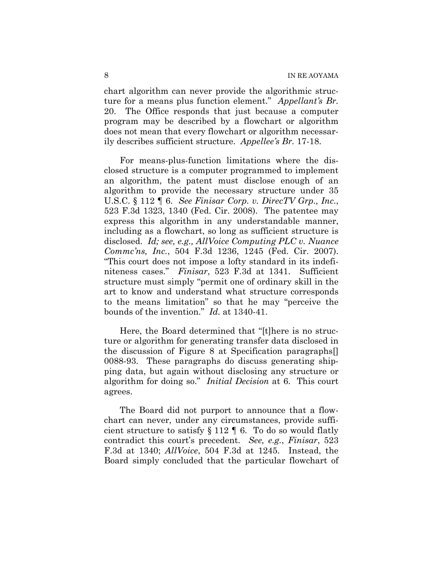chart algorithm can never provide the algorithmic structure for a means plus function element." *Appellant's Br.* 20. The Office responds that just because a computer program may be described by a flowchart or algorithm does not mean that every flowchart or algorithm necessarily describes sufficient structure. *Appellee's Br.* 17-18.

For means-plus-function limitations where the disclosed structure is a computer programmed to implement an algorithm, the patent must disclose enough of an algorithm to provide the necessary structure under 35 U.S.C. § 112 ¶ 6. *See Finisar Corp. v. DirecTV Grp., Inc.*, 523 F.3d 1323, 1340 (Fed. Cir. 2008). The patentee may express this algorithm in any understandable manner, including as a flowchart, so long as sufficient structure is disclosed. *Id; see, e.g., AllVoice Computing PLC v. Nuance Commc'ns, Inc.*, 504 F.3d 1236, 1245 (Fed. Cir. 2007). "This court does not impose a lofty standard in its indefiniteness cases." *Finisar*, 523 F.3d at 1341. Sufficient structure must simply "permit one of ordinary skill in the art to know and understand what structure corresponds to the means limitation" so that he may "perceive the bounds of the invention." *Id.* at 1340-41.

Here, the Board determined that "[t]here is no structure or algorithm for generating transfer data disclosed in the discussion of Figure 8 at Specification paragraphs[] 0088-93. These paragraphs do discuss generating shipping data, but again without disclosing any structure or algorithm for doing so." *Initial Decision* at 6. This court agrees.

The Board did not purport to announce that a flowchart can never, under any circumstances, provide sufficient structure to satisfy  $\S 112 \text{ } \text{\textdegree}$  6. To do so would flatly contradict this court's precedent. *See, e.g.*, *Finisar*, 523 F.3d at 1340; *AllVoice*, 504 F.3d at 1245. Instead, the Board simply concluded that the particular flowchart of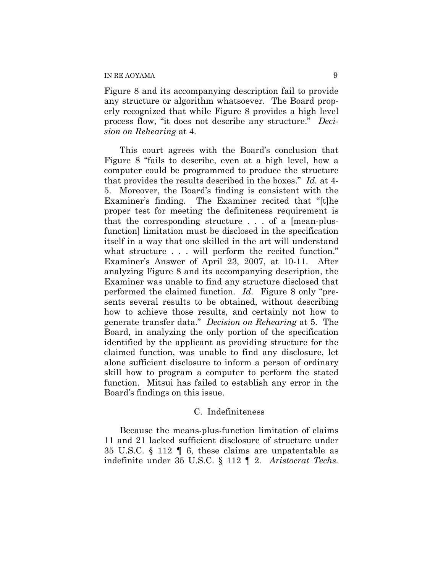Figure 8 and its accompanying description fail to provide any structure or algorithm whatsoever. The Board properly recognized that while Figure 8 provides a high level process flow, "it does not describe any structure." *Decision on Rehearing* at 4.

This court agrees with the Board's conclusion that Figure 8 "fails to describe, even at a high level, how a computer could be programmed to produce the structure that provides the results described in the boxes." *Id.* at 4- 5. Moreover, the Board's finding is consistent with the Examiner's finding. The Examiner recited that "[t]he proper test for meeting the definiteness requirement is that the corresponding structure . . . of a [mean-plusfunction] limitation must be disclosed in the specification itself in a way that one skilled in the art will understand what structure . . . will perform the recited function." Examiner's Answer of April 23, 2007, at 10-11. After analyzing Figure 8 and its accompanying description, the Examiner was unable to find any structure disclosed that performed the claimed function. *Id.* Figure 8 only "presents several results to be obtained, without describing how to achieve those results, and certainly not how to generate transfer data." *Decision on Rehearing* at 5. The Board, in analyzing the only portion of the specification identified by the applicant as providing structure for the claimed function, was unable to find any disclosure, let alone sufficient disclosure to inform a person of ordinary skill how to program a computer to perform the stated function. Mitsui has failed to establish any error in the Board's findings on this issue.

#### C. Indefiniteness

Because the means-plus-function limitation of claims 11 and 21 lacked sufficient disclosure of structure under 35 U.S.C. § 112 ¶ 6, these claims are unpatentable as indefinite under 35 U.S.C. § 112 ¶ 2. *Aristocrat Techs.*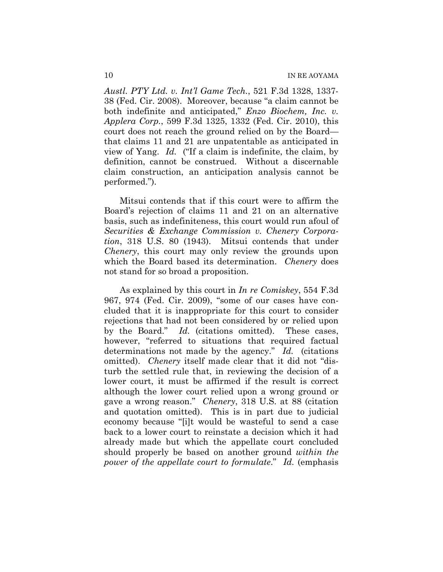*Austl. PTY Ltd. v. Int'l Game Tech.*, 521 F.3d 1328, 1337- 38 (Fed. Cir. 2008). Moreover, because "a claim cannot be both indefinite and anticipated," *Enzo Biochem, Inc. v. Applera Corp.*, 599 F.3d 1325, 1332 (Fed. Cir. 2010), this court does not reach the ground relied on by the Board that claims 11 and 21 are unpatentable as anticipated in view of Yang. *Id.* ("If a claim is indefinite, the claim, by definition, cannot be construed. Without a discernable claim construction, an anticipation analysis cannot be performed.").

Mitsui contends that if this court were to affirm the Board's rejection of claims 11 and 21 on an alternative basis, such as indefiniteness, this court would run afoul of *Securities & Exchange Commission v. Chenery Corporation*, 318 U.S. 80 (1943). Mitsui contends that under *Chenery*, this court may only review the grounds upon which the Board based its determination. *Chenery* does not stand for so broad a proposition.

As explained by this court in *In re Comiskey*, 554 F.3d 967, 974 (Fed. Cir. 2009), "some of our cases have concluded that it is inappropriate for this court to consider rejections that had not been considered by or relied upon by the Board." *Id.* (citations omitted). These cases, however, "referred to situations that required factual determinations not made by the agency." *Id.* (citations omitted). *Chenery* itself made clear that it did not "disturb the settled rule that, in reviewing the decision of a lower court, it must be affirmed if the result is correct although the lower court relied upon a wrong ground or gave a wrong reason." *Chenery*, 318 U.S. at 88 (citation and quotation omitted). This is in part due to judicial economy because "[i]t would be wasteful to send a case back to a lower court to reinstate a decision which it had already made but which the appellate court concluded should properly be based on another ground *within the power of the appellate court to formulate*." *Id.* (emphasis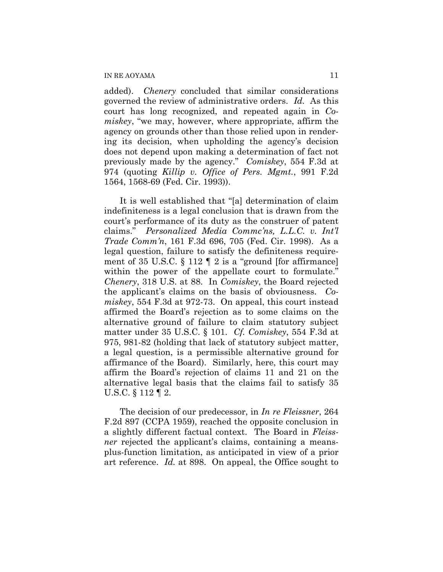added). *Chenery* concluded that similar considerations governed the review of administrative orders. *Id.* As this court has long recognized, and repeated again in *Comiskey*, "we may, however, where appropriate, affirm the agency on grounds other than those relied upon in rendering its decision, when upholding the agency's decision does not depend upon making a determination of fact not previously made by the agency." *Comiskey*, 554 F.3d at 974 (quoting *Killip v. Office of Pers. Mgmt.*, 991 F.2d 1564, 1568-69 (Fed. Cir. 1993)).

It is well established that "[a] determination of claim indefiniteness is a legal conclusion that is drawn from the court's performance of its duty as the construer of patent claims." *Personalized Media Commc'ns, L.L.C. v. Int'l Trade Comm'n*, 161 F.3d 696, 705 (Fed. Cir. 1998). As a legal question, failure to satisfy the definiteness requirement of 35 U.S.C. § 112 ¶ 2 is a "ground [for affirmance] within the power of the appellate court to formulate." *Chenery*, 318 U.S. at 88. In *Comiskey*, the Board rejected the applicant's claims on the basis of obviousness. *Comiskey*, 554 F.3d at 972-73. On appeal, this court instead affirmed the Board's rejection as to some claims on the alternative ground of failure to claim statutory subject matter under 35 U.S.C. § 101. *Cf. Comiskey*, 554 F.3d at 975, 981-82 (holding that lack of statutory subject matter, a legal question, is a permissible alternative ground for affirmance of the Board). Similarly, here, this court may affirm the Board's rejection of claims 11 and 21 on the alternative legal basis that the claims fail to satisfy 35 U.S.C. § 112 ¶ 2.

The decision of our predecessor, in *In re Fleissner*, 264 F.2d 897 (CCPA 1959), reached the opposite conclusion in a slightly different factual context. The Board in *Fleissner* rejected the applicant's claims, containing a meansplus-function limitation, as anticipated in view of a prior art reference. *Id.* at 898. On appeal, the Office sought to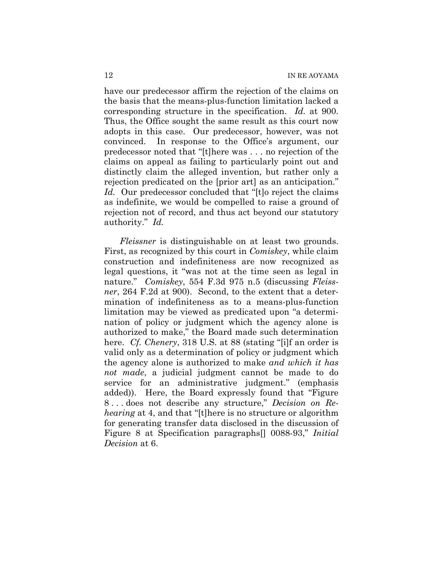have our predecessor affirm the rejection of the claims on the basis that the means-plus-function limitation lacked a corresponding structure in the specification. *Id.* at 900. Thus, the Office sought the same result as this court now adopts in this case. Our predecessor, however, was not convinced. In response to the Office's argument, our predecessor noted that "[t]here was . . . no rejection of the claims on appeal as failing to particularly point out and distinctly claim the alleged invention, but rather only a rejection predicated on the [prior art] as an anticipation." *Id.* Our predecessor concluded that "[t]o reject the claims as indefinite, we would be compelled to raise a ground of rejection not of record, and thus act beyond our statutory authority." *Id.*

*Fleissner* is distinguishable on at least two grounds. First, as recognized by this court in *Comiskey*, while claim construction and indefiniteness are now recognized as legal questions, it "was not at the time seen as legal in nature." *Comiskey*, 554 F.3d 975 n.5 (discussing *Fleissner*, 264 F.2d at 900). Second, to the extent that a determination of indefiniteness as to a means-plus-function limitation may be viewed as predicated upon "a determination of policy or judgment which the agency alone is authorized to make," the Board made such determination here. *Cf. Chenery*, 318 U.S. at 88 (stating "[i]f an order is valid only as a determination of policy or judgment which the agency alone is authorized to make *and which it has not made*, a judicial judgment cannot be made to do service for an administrative judgment." (emphasis added)). Here, the Board expressly found that "Figure 8 . . . does not describe any structure," *Decision on Rehearing* at 4, and that "[t]here is no structure or algorithm for generating transfer data disclosed in the discussion of Figure 8 at Specification paragraphs[] 0088-93," *Initial Decision* at 6.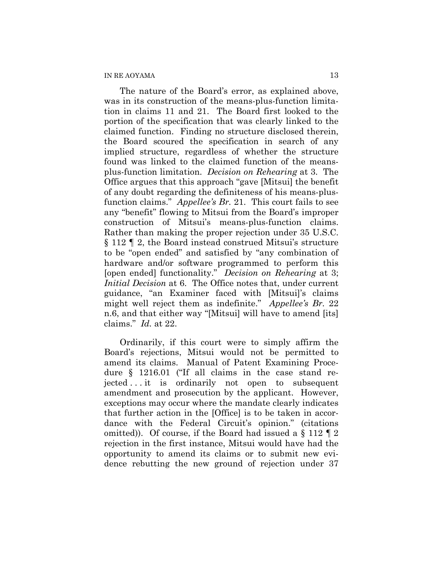The nature of the Board's error, as explained above, was in its construction of the means-plus-function limitation in claims 11 and 21. The Board first looked to the portion of the specification that was clearly linked to the claimed function. Finding no structure disclosed therein, the Board scoured the specification in search of any implied structure, regardless of whether the structure found was linked to the claimed function of the meansplus-function limitation. *Decision on Rehearing* at 3. The Office argues that this approach "gave [Mitsui] the benefit of any doubt regarding the definiteness of his means-plusfunction claims." *Appellee's Br.* 21. This court fails to see any "benefit" flowing to Mitsui from the Board's improper construction of Mitsui's means-plus-function claims. Rather than making the proper rejection under 35 U.S.C. § 112 ¶ 2, the Board instead construed Mitsui's structure to be "open ended" and satisfied by "any combination of hardware and/or software programmed to perform this [open ended] functionality." *Decision on Rehearing* at 3; *Initial Decision* at 6. The Office notes that, under current guidance, "an Examiner faced with [Mitsui]'s claims might well reject them as indefinite." *Appellee's Br.* 22 n.6, and that either way "[Mitsui] will have to amend [its] claims." *Id.* at 22.

Ordinarily, if this court were to simply affirm the Board's rejections, Mitsui would not be permitted to amend its claims. Manual of Patent Examining Procedure § 1216.01 ("If all claims in the case stand rejected . . . it is ordinarily not open to subsequent amendment and prosecution by the applicant. However, exceptions may occur where the mandate clearly indicates that further action in the [Office] is to be taken in accordance with the Federal Circuit's opinion." (citations omitted)). Of course, if the Board had issued a § 112 ¶ 2 rejection in the first instance, Mitsui would have had the opportunity to amend its claims or to submit new evidence rebutting the new ground of rejection under 37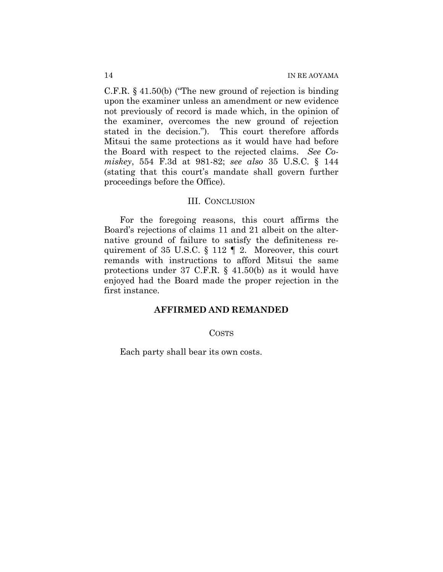C.F.R. § 41.50(b) ("The new ground of rejection is binding upon the examiner unless an amendment or new evidence not previously of record is made which, in the opinion of the examiner, overcomes the new ground of rejection stated in the decision."). This court therefore affords Mitsui the same protections as it would have had before the Board with respect to the rejected claims. *See Comiskey*, 554 F.3d at 981-82; *see also* 35 U.S.C. § 144 (stating that this court's mandate shall govern further proceedings before the Office).

#### III. CONCLUSION

For the foregoing reasons, this court affirms the Board's rejections of claims 11 and 21 albeit on the alternative ground of failure to satisfy the definiteness requirement of 35 U.S.C. § 112 ¶ 2. Moreover, this court remands with instructions to afford Mitsui the same protections under 37 C.F.R. § 41.50(b) as it would have enjoyed had the Board made the proper rejection in the first instance.

# **AFFIRMED AND REMANDED**

#### COSTS

Each party shall bear its own costs.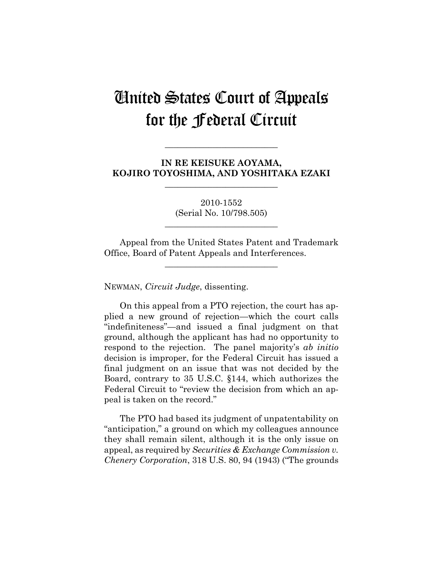# United States Court of Appeals for the Federal Circuit

**IN RE KEISUKE AOYAMA, KOJIRO TOYOSHIMA, AND YOSHITAKA EZAKI** 

**\_\_\_\_\_\_\_\_\_\_\_\_\_\_\_\_\_\_\_\_\_\_\_\_\_\_** 

**\_\_\_\_\_\_\_\_\_\_\_\_\_\_\_\_\_\_\_\_\_\_\_\_\_\_** 

2010-1552 (Serial No. 10/798.505)

**\_\_\_\_\_\_\_\_\_\_\_\_\_\_\_\_\_\_\_\_\_\_\_\_\_\_** 

Appeal from the United States Patent and Trademark Office, Board of Patent Appeals and Interferences.

**\_\_\_\_\_\_\_\_\_\_\_\_\_\_\_\_\_\_\_\_\_\_\_\_\_\_** 

NEWMAN, *Circuit Judge*, dissenting.

On this appeal from a PTO rejection, the court has applied a new ground of rejection—which the court calls "indefiniteness"—and issued a final judgment on that ground, although the applicant has had no opportunity to respond to the rejection. The panel majority's *ab initio* decision is improper, for the Federal Circuit has issued a final judgment on an issue that was not decided by the Board, contrary to 35 U.S.C. §144, which authorizes the Federal Circuit to "review the decision from which an appeal is taken on the record."

The PTO had based its judgment of unpatentability on "anticipation," a ground on which my colleagues announce they shall remain silent, although it is the only issue on appeal, as required by *Securities & Exchange Commission v. Chenery Corporation*, 318 U.S. 80, 94 (1943) ("The grounds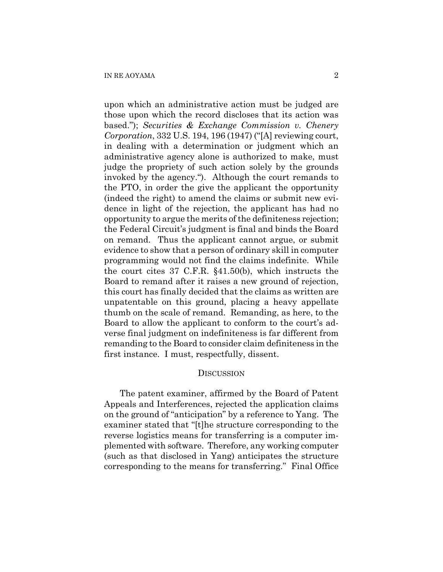upon which an administrative action must be judged are those upon which the record discloses that its action was based."); *Securities & Exchange Commission v. Chenery Corporation*, 332 U.S. 194, 196 (1947) ("[A] reviewing court, in dealing with a determination or judgment which an administrative agency alone is authorized to make, must judge the propriety of such action solely by the grounds invoked by the agency."). Although the court remands to the PTO, in order the give the applicant the opportunity (indeed the right) to amend the claims or submit new evidence in light of the rejection, the applicant has had no opportunity to argue the merits of the definiteness rejection; the Federal Circuit's judgment is final and binds the Board on remand. Thus the applicant cannot argue, or submit evidence to show that a person of ordinary skill in computer programming would not find the claims indefinite. While the court cites 37 C.F.R. §41.50(b), which instructs the Board to remand after it raises a new ground of rejection, this court has finally decided that the claims as written are unpatentable on this ground, placing a heavy appellate thumb on the scale of remand. Remanding, as here, to the Board to allow the applicant to conform to the court's adverse final judgment on indefiniteness is far different from remanding to the Board to consider claim definiteness in the first instance. I must, respectfully, dissent.

### **DISCUSSION**

The patent examiner, affirmed by the Board of Patent Appeals and Interferences, rejected the application claims on the ground of "anticipation" by a reference to Yang. The examiner stated that "[t]he structure corresponding to the reverse logistics means for transferring is a computer implemented with software. Therefore, any working computer (such as that disclosed in Yang) anticipates the structure corresponding to the means for transferring." Final Office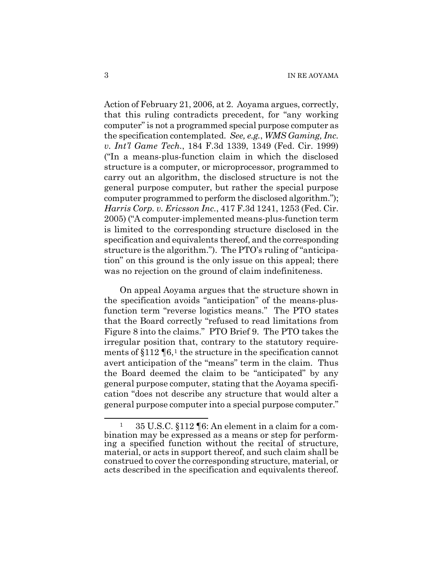Action of February 21, 2006, at 2. Aoyama argues, correctly, that this ruling contradicts precedent, for "any working computer" is not a programmed special purpose computer as the specification contemplated. *See, e.g.*, *WMS Gaming, Inc. v. Int'l Game Tech.*, 184 F.3d 1339, 1349 (Fed. Cir. 1999) ("In a means-plus-function claim in which the disclosed structure is a computer, or microprocessor, programmed to carry out an algorithm, the disclosed structure is not the general purpose computer, but rather the special purpose computer programmed to perform the disclosed algorithm."); *Harris Corp. v. Ericsson Inc.*, 417 F.3d 1241, 1253 (Fed. Cir. 2005) ("A computer-implemented means-plus-function term is limited to the corresponding structure disclosed in the specification and equivalents thereof, and the corresponding structure is the algorithm."). The PTO's ruling of "anticipation" on this ground is the only issue on this appeal; there was no rejection on the ground of claim indefiniteness.

On appeal Aoyama argues that the structure shown in the specification avoids "anticipation" of the means-plusfunction term "reverse logistics means." The PTO states that the Board correctly "refused to read limitations from Figure 8 into the claims." PTO Brief 9. The PTO takes the irregular position that, contrary to the statutory requirements of  $§112 \P6$  $§112 \P6$  $§112 \P6$ ,<sup>1</sup> the structure in the specification cannot avert anticipation of the "means" term in the claim. Thus the Board deemed the claim to be "anticipated" by any general purpose computer, stating that the Aoyama specification "does not describe any structure that would alter a general purpose computer into a special purpose computer."

 $\overline{a}$ 

<span id="page-16-0"></span><sup>1 35</sup> U.S.C. §112 ¶6: An element in a claim for a combination may be expressed as a means or step for performing a specified function without the recital of structure, material, or acts in support thereof, and such claim shall be construed to cover the corresponding structure, material, or acts described in the specification and equivalents thereof.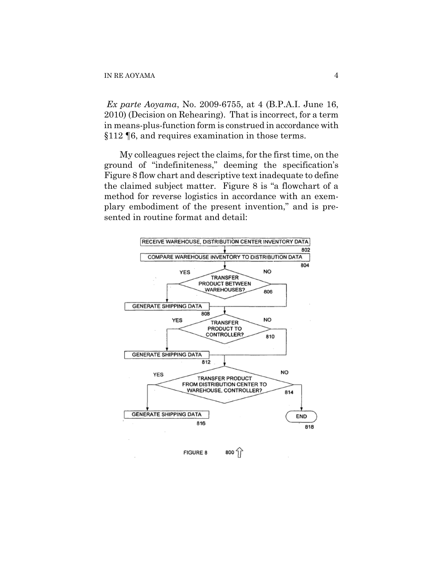*Ex parte Aoyama*, No. 2009-6755, at 4 (B.P.A.I. June 16, 2010) (Decision on Rehearing). That is incorrect, for a term in means-plus-function form is construed in accordance with §112 ¶6, and requires examination in those terms.

My colleagues reject the claims, for the first time, on the ground of "indefiniteness," deeming the specification's Figure 8 flow chart and descriptive text inadequate to define the claimed subject matter. Figure 8 is "a flowchart of a method for reverse logistics in accordance with an exemplary embodiment of the present invention," and is presented in routine format and detail:

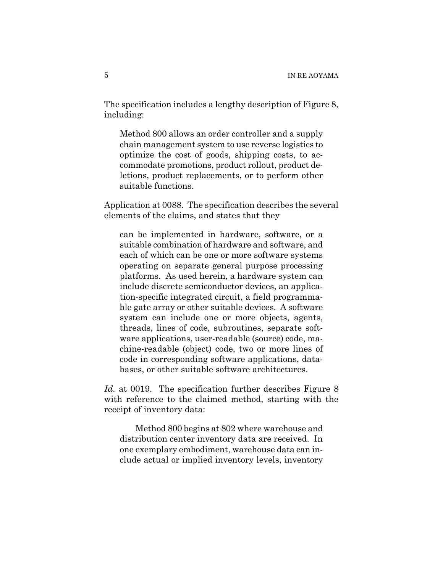The specification includes a lengthy description of Figure 8, including:

Method 800 allows an order controller and a supply chain management system to use reverse logistics to optimize the cost of goods, shipping costs, to accommodate promotions, product rollout, product deletions, product replacements, or to perform other suitable functions.

Application at 0088. The specification describes the several elements of the claims, and states that they

can be implemented in hardware, software, or a suitable combination of hardware and software, and each of which can be one or more software systems operating on separate general purpose processing platforms. As used herein, a hardware system can include discrete semiconductor devices, an application-specific integrated circuit, a field programmable gate array or other suitable devices. A software system can include one or more objects, agents, threads, lines of code, subroutines, separate software applications, user-readable (source) code, machine-readable (object) code, two or more lines of code in corresponding software applications, databases, or other suitable software architectures.

*Id.* at 0019. The specification further describes Figure 8 with reference to the claimed method, starting with the receipt of inventory data:

 Method 800 begins at 802 where warehouse and distribution center inventory data are received. In one exemplary embodiment, warehouse data can include actual or implied inventory levels, inventory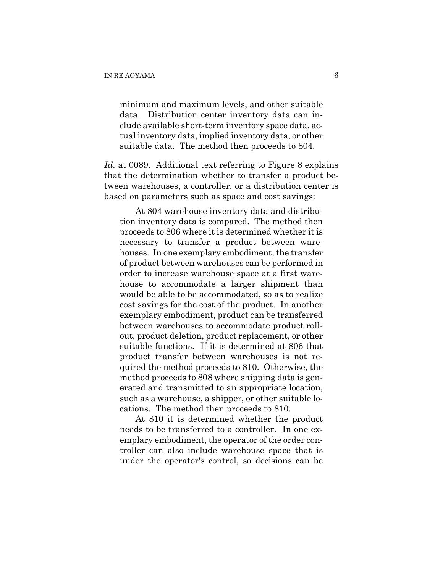minimum and maximum levels, and other suitable data. Distribution center inventory data can include available short-term inventory space data, actual inventory data, implied inventory data, or other suitable data. The method then proceeds to 804.

Id. at 0089. Additional text referring to Figure 8 explains that the determination whether to transfer a product between warehouses, a controller, or a distribution center is based on parameters such as space and cost savings:

 At 804 warehouse inventory data and distribution inventory data is compared. The method then proceeds to 806 where it is determined whether it is necessary to transfer a product between warehouses. In one exemplary embodiment, the transfer of product between warehouses can be performed in order to increase warehouse space at a first warehouse to accommodate a larger shipment than would be able to be accommodated, so as to realize cost savings for the cost of the product. In another exemplary embodiment, product can be transferred between warehouses to accommodate product rollout, product deletion, product replacement, or other suitable functions. If it is determined at 806 that product transfer between warehouses is not required the method proceeds to 810. Otherwise, the method proceeds to 808 where shipping data is generated and transmitted to an appropriate location, such as a warehouse, a shipper, or other suitable locations. The method then proceeds to 810.

 At 810 it is determined whether the product needs to be transferred to a controller. In one exemplary embodiment, the operator of the order controller can also include warehouse space that is under the operator's control, so decisions can be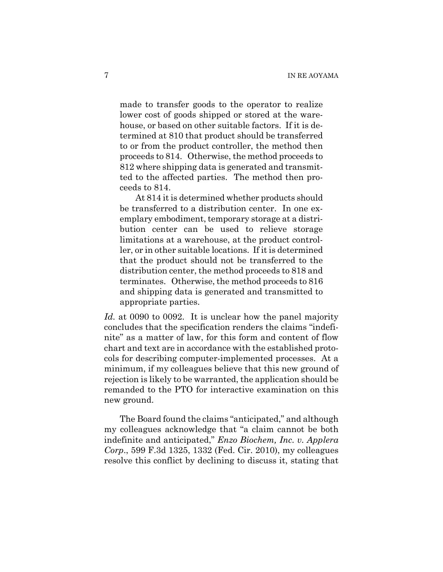made to transfer goods to the operator to realize lower cost of goods shipped or stored at the warehouse, or based on other suitable factors. If it is determined at 810 that product should be transferred to or from the product controller, the method then proceeds to 814. Otherwise, the method proceeds to 812 where shipping data is generated and transmitted to the affected parties. The method then proceeds to 814.

 At 814 it is determined whether products should be transferred to a distribution center. In one exemplary embodiment, temporary storage at a distribution center can be used to relieve storage limitations at a warehouse, at the product controller, or in other suitable locations. If it is determined that the product should not be transferred to the distribution center, the method proceeds to 818 and terminates. Otherwise, the method proceeds to 816 and shipping data is generated and transmitted to appropriate parties.

*Id.* at 0090 to 0092. It is unclear how the panel majority concludes that the specification renders the claims "indefinite" as a matter of law, for this form and content of flow chart and text are in accordance with the established protocols for describing computer-implemented processes. At a minimum, if my colleagues believe that this new ground of rejection is likely to be warranted, the application should be remanded to the PTO for interactive examination on this new ground.

The Board found the claims "anticipated," and although my colleagues acknowledge that "a claim cannot be both indefinite and anticipated," *Enzo Biochem, Inc. v. Applera Corp*., 599 F.3d 1325, 1332 (Fed. Cir. 2010), my colleagues resolve this conflict by declining to discuss it, stating that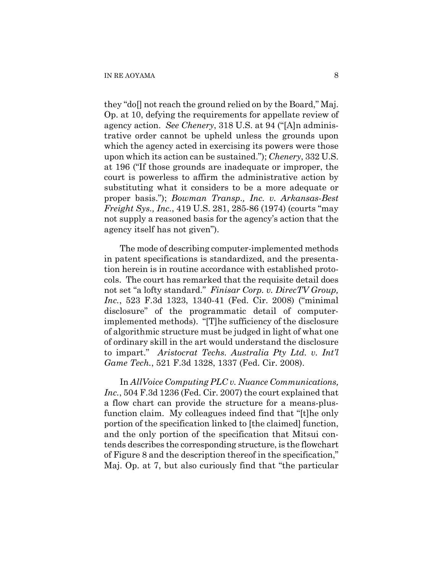they "do[] not reach the ground relied on by the Board," Maj. Op. at 10, defying the requirements for appellate review of agency action. *See Chenery*, 318 U.S. at 94 ("[A]n administrative order cannot be upheld unless the grounds upon which the agency acted in exercising its powers were those upon which its action can be sustained."); *Chenery*, 332 U.S. at 196 ("If those grounds are inadequate or improper, the court is powerless to affirm the administrative action by substituting what it considers to be a more adequate or proper basis."); *Bowman Transp., Inc. v. Arkansas-Best Freight Sys., Inc.*, 419 U.S. 281, 285-86 (1974) (courts "may not supply a reasoned basis for the agency's action that the agency itself has not given").

The mode of describing computer-implemented methods in patent specifications is standardized, and the presentation herein is in routine accordance with established protocols. The court has remarked that the requisite detail does not set "a lofty standard." *Finisar Corp. v. DirecTV Group, Inc.*, 523 F.3d 1323, 1340-41 (Fed. Cir. 2008) ("minimal disclosure" of the programmatic detail of computerimplemented methods). "[T]he sufficiency of the disclosure of algorithmic structure must be judged in light of what one of ordinary skill in the art would understand the disclosure to impart." *Aristocrat Techs. Australia Pty Ltd. v. Int'l Game Tech.*, 521 F.3d 1328, 1337 (Fed. Cir. 2008).

In *AllVoice Computing PLC v. Nuance Communications, Inc.*, 504 F.3d 1236 (Fed. Cir. 2007) the court explained that a flow chart can provide the structure for a means-plusfunction claim. My colleagues indeed find that "[t]he only portion of the specification linked to [the claimed] function, and the only portion of the specification that Mitsui contends describes the corresponding structure, is the flowchart of Figure 8 and the description thereof in the specification," Maj. Op. at 7, but also curiously find that "the particular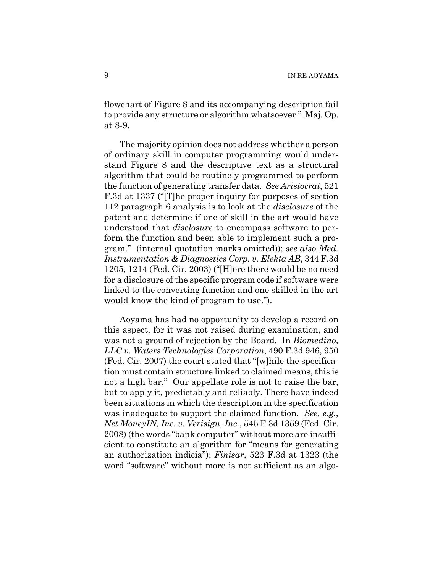flowchart of Figure 8 and its accompanying description fail to provide any structure or algorithm whatsoever." Maj. Op. at 8-9.

The majority opinion does not address whether a person of ordinary skill in computer programming would understand Figure 8 and the descriptive text as a structural algorithm that could be routinely programmed to perform the function of generating transfer data. *See Aristocrat*, 521 F.3d at 1337 ("[T]he proper inquiry for purposes of section 112 paragraph 6 analysis is to look at the *disclosure* of the patent and determine if one of skill in the art would have understood that *disclosure* to encompass software to perform the function and been able to implement such a program." (internal quotation marks omitted)); *see also Med. Instrumentation & Diagnostics Corp. v. Elekta AB*, 344 F.3d 1205, 1214 (Fed. Cir. 2003) ("[H]ere there would be no need for a disclosure of the specific program code if software were linked to the converting function and one skilled in the art would know the kind of program to use.").

Aoyama has had no opportunity to develop a record on this aspect, for it was not raised during examination, and was not a ground of rejection by the Board. In *Biomedino, LLC v. Waters Technologies Corporation*, 490 F.3d 946, 950 (Fed. Cir. 2007) the court stated that "[w]hile the specification must contain structure linked to claimed means, this is not a high bar." Our appellate role is not to raise the bar, but to apply it, predictably and reliably. There have indeed been situations in which the description in the specification was inadequate to support the claimed function. *See, e.g.*, *Net MoneyIN, Inc. v. Verisign, Inc.*, 545 F.3d 1359 (Fed. Cir. 2008) (the words "bank computer" without more are insufficient to constitute an algorithm for "means for generating an authorization indicia"); *Finisar*, 523 F.3d at 1323 (the word "software" without more is not sufficient as an algo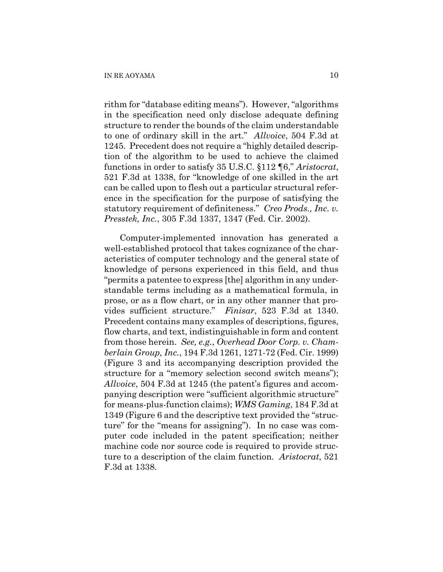rithm for "database editing means"). However, "algorithms in the specification need only disclose adequate defining structure to render the bounds of the claim understandable to one of ordinary skill in the art." *Allvoice*, 504 F.3d at 1245. Precedent does not require a "highly detailed description of the algorithm to be used to achieve the claimed functions in order to satisfy 35 U.S.C. §112 ¶6," *Aristocrat*, 521 F.3d at 1338, for "knowledge of one skilled in the art can be called upon to flesh out a particular structural reference in the specification for the purpose of satisfying the statutory requirement of definiteness." *Creo Prods., Inc. v. Presstek, Inc.*, 305 F.3d 1337, 1347 (Fed. Cir. 2002).

Computer-implemented innovation has generated a well-established protocol that takes cognizance of the characteristics of computer technology and the general state of knowledge of persons experienced in this field, and thus "permits a patentee to express [the] algorithm in any understandable terms including as a mathematical formula, in prose, or as a flow chart, or in any other manner that provides sufficient structure." *Finisar*, 523 F.3d at 1340. Precedent contains many examples of descriptions, figures, flow charts, and text, indistinguishable in form and content from those herein. *See, e.g.*, *Overhead Door Corp. v. Chamberlain Group, Inc.*, 194 F.3d 1261, 1271-72 (Fed. Cir. 1999) (Figure 3 and its accompanying description provided the structure for a "memory selection second switch means"); *Allvoice*, 504 F.3d at 1245 (the patent's figures and accompanying description were "sufficient algorithmic structure" for means-plus-function claims); *WMS Gaming*, 184 F.3d at 1349 (Figure 6 and the descriptive text provided the "structure" for the "means for assigning"). In no case was computer code included in the patent specification; neither machine code nor source code is required to provide structure to a description of the claim function. *Aristocrat*, 521 F.3d at 1338.